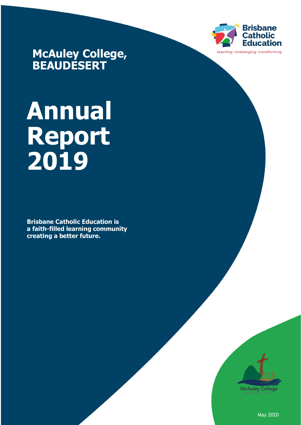

**McAuley College, BEAUDESERT**

# **Annual Report 2019**

**Brisbane Catholic Education is a faith-filled learning community creating a better future.**



May 2020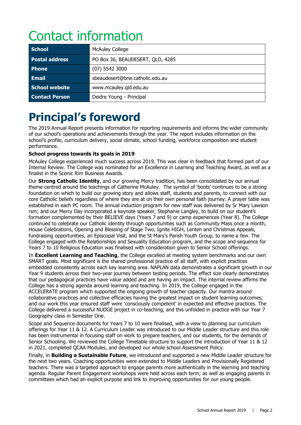# Contact information

| <b>School</b>         | <b>McAuley College</b>           |
|-----------------------|----------------------------------|
| <b>Postal address</b> | PO Box 36, BEAUDESERT, QLD, 4285 |
| <b>Phone</b>          | $(07)$ 5542 3000                 |
| <b>Email</b>          | sbeaudesert@bne.catholic.edu.au  |
| School website        | www.mcauley.gld.edu.au           |
| <b>Contact Person</b> | Deidre Young - Principal         |

### **Principal's foreword**

The 2019 Annual Report presents information for reporting requirements and informs the wider community of our school's operations and achievements through the year. The report includes information on the school's profile, curriculum delivery, social climate, school funding, workforce composition and student performance.

#### **School progress towards its goals in 2019**

McAuley College experienced much success across 2019. This was clear in feedback that formed part of our Internal Review. The College was nominated for an Excellence in Learning and Teaching Award, as well as a finalist in the Scenic Rim Business Awards.

Our **Strong Catholic Identity**, and our growing Mercy tradition, has been consolidated by our annual theme centred around the teachings of Catherine McAuley. The symbol of 'boots' continues to be a strong foundation on which to build our growing story and allows staff, students and parents, to connect with our core Catholic beliefs regardless of where they are at on their own personal faith journey. A prayer table was established in each PC room. The annual induction program for new staff was delivered by Sr Mary Lawson rsm; and our Mercy Day incorporated a keynote speaker, Stephanie Langley, to build on our student's formation complemented by their BELIEVE days (Years 7 and 9) or camp experiences (Year 8). The College continued to celebrate our Catholic identity through opportunities such as Community Mass once a month, House Celebrations, Opening and Blessing of Stage Two, Ignite HIGH, Lenten and Christmas Appeals, fundraising opportunities, an Episcopal Visit, and the St Mary's Parish Youth Group, to name a few. The College engaged with the Relationships and Sexuality Education program, and the scope and sequence for Years 7 to 10 Religious Education was finalised with consideration given to Senior School offerings.

In **Excellent Learning and Teaching**, the College excelled at meeting system benchmarks and our own SMART goals. Most significant is the shared professional practice of all staff, with explicit practices embedded consistently across each key learning area. NAPLAN data demonstrates a significant growth in our Year 9 students across their two-year journey between testing periods. The effect size clearly demonstrates that our pedagogical practices have value added and are having an impact. The internal review affirms the College has a strong agenda around learning and teaching. In 2019, the College engaged in the ACCELERATE program which supported the ongoing growth of teacher capacity. Our mantra around collaborative practices and collective efficacies having the greatest impact on student learning outcomes; and our work this year ensured staff were 'consciously competent' in expected and effective practices. The College delivered a successful NUDGE project in co-teaching, and this unfolded in practice with our Year 7 Geography class in Semester One.

Scope and Sequence documents for Years 7 to 10 were finalised, with a view to planning our curriculum offerings for Year 11 & 12. A Curriculum Leader was introduced to our Middle Leader structure and this role has been instrumental in focusing staff on work to prepare teachers, and our students, for the demands of Senior Schooling. We reviewed the College Timetable structure to support the introduction of Year 11 & 12 in 2021, completed QCAA Modules, and developed our whole school Assessment Policy.

Finally, in **Building a Sustainable Future**, we introduced and supported a new Middle Leader structure for the next two years. Coaching opportunities were extended to Middle Leaders and Provisionally Registered teachers. There was a targeted approach to engage parents more authentically in the learning and teaching agenda. Regular Parent Engagement workshops were held across each term; as well as engaging parents in committees which had an explicit purpose and link to improving opportunities for our young people.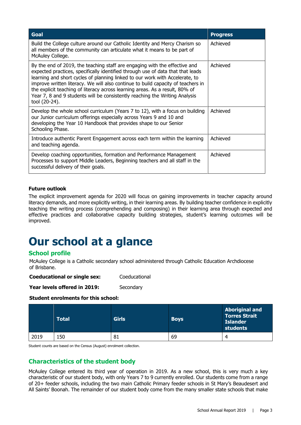| <b>Goal</b>                                                                                                                                                                                                                                                                                                                                                                                                                                                                                                       | <b>Progress</b> |
|-------------------------------------------------------------------------------------------------------------------------------------------------------------------------------------------------------------------------------------------------------------------------------------------------------------------------------------------------------------------------------------------------------------------------------------------------------------------------------------------------------------------|-----------------|
| Build the College culture around our Catholic Identity and Mercy Charism so<br>all members of the community can articulate what it means to be part of<br>McAuley College.                                                                                                                                                                                                                                                                                                                                        | Achieved        |
| By the end of 2019, the teaching staff are engaging with the effective and<br>expected practices, specifically identified through use of data that that leads<br>learning and short cycles of planning linked to our work with Accelerate, to<br>improve written literacy. We will also continue to build capacity of teachers in<br>the explicit teaching of literacy across learning areas. As a result, 80% of<br>Year 7, 8 and 9 students will be consistently reaching the Writing Analysis<br>tool (20-24). | Achieved        |
| Develop the whole school curriculum (Years 7 to 12), with a focus on building<br>our Junior curriculum offerings especially across Years 9 and 10 and<br>developing the Year 10 Handbook that provides shape to our Senior<br>Schooling Phase.                                                                                                                                                                                                                                                                    | Achieved        |
| Introduce authentic Parent Engagement across each term within the learning<br>and teaching agenda.                                                                                                                                                                                                                                                                                                                                                                                                                | Achieved        |
| Develop coaching opportunities, formation and Performance Management<br>Processes to support Middle Leaders, Beginning teachers and all staff in the<br>successful delivery of their goals.                                                                                                                                                                                                                                                                                                                       | Achieved        |

#### **Future outlook**

The explicit improvement agenda for 2020 will focus on gaining improvements in teacher capacity around literacy demands, and more explicitly writing, in their learning areas. By building teacher confidence in explicitly teaching the writing process (comprehending and composing) in their learning area through expected and effective practices and collaborative capacity building strategies, student's learning outcomes will be improved.

## **Our school at a glance**

#### **School profile**

McAuley College is a Catholic secondary school administered through Catholic Education Archdiocese of Brisbane.

**Coeducational or single sex:** Coeducational

**Year levels offered in 2019:** Secondary

#### **Student enrolments for this school:**

|      | <b>Total</b> | <b>Girls</b> | <b>Boys</b> | <b>Aboriginal and</b><br>Torres Strait<br><b>Islander</b><br>students |
|------|--------------|--------------|-------------|-----------------------------------------------------------------------|
| 2019 | L50          | 81           | 69          | 4                                                                     |

Student counts are based on the Census (August) enrolment collection.

#### **Characteristics of the student body**

McAuley College entered its third year of operation in 2019. As a new school, this is very much a key characteristic of our student body, with only Years 7 to 9 currently enrolled. Our students come from a range of 20+ feeder schools, including the two main Catholic Primary feeder schools in St Mary's Beaudesert and All Saints' Boonah. The remainder of our student body come from the many smaller state schools that make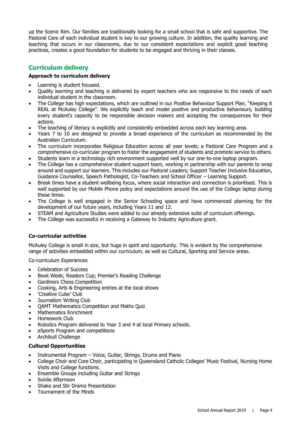up the Scenic Rim. Our families are traditionally looking for a small school that is safe and supportive. The Pastoral Care of each individual student is key to our growing culture. In addition, the quality learning and teaching that occurs in our classrooms, due to our consistent expectations and explicit good teaching practices, creates a good foundation for students to be engaged and thriving in their classes.

#### **Curriculum delivery**

#### **Approach to curriculum delivery**

- Learning is student focused.
- Quality learning and teaching is delivered by expert teachers who are responsive to the needs of each individual student in the classroom.
- The College has high expectations, which are outlined in our Positive Behaviour Support Plan, "Keeping it REAL at McAuley College". We explicitly teach and model positive and productive behaviours, building every student's capacity to be responsible decision makers and accepting the consequences for their actions.
- The teaching of literacy is explicitly and consistently embedded across each key learning area.
- Years 7 to 10 are designed to provide a broad experience of the curriculum as recommended by the Australian Curriculum.
- The curriculum incorporates Religious Education across all year levels; a Pastoral Care Program and a comprehensive co-curricular program to foster the engagement of students and promote service to others.
- Students learn in a technology rich environment supported well by our one-to-one laptop program.
- The College has a comprehensive student support team, working in partnership with our parents to wrap around and support our learners. This includes our Pastoral Leaders; Support Teacher Inclusive Education, Guidance Counsellor, Speech Pathologist, Co-Teachers and School Officer – Learning Support.
- Break times have a student wellbeing focus, where social interaction and connection is prioritised. This is well supported by our Mobile Phone policy and expectations around the use of the College laptop during these times.
- The College is well engaged in the Senior Schooling space and have commenced planning for the development of our future years, including Years 11 and 12.
- STEAM and Agriculture Studies were added to our already extensive suite of curriculum offerings.
- The College was successful in receiving a Gateway to Industry Agriculture grant.

#### **Co-curricular activities**

McAuley College is small in size, but huge in spirit and opportunity. This is evident by the comprehensive range of activities embedded within our curriculum, as well as Cultural, Sporting and Service areas.

Co-curriculum Experiences

- Celebration of Success
- Book Week; Readers Cup; Premier's Reading Challenge
- Gardiners Chess Competition
- Cooking, Arts & Engineering entries at the local shows
- 'Creative Cube' Club
- Journalism Writing Club
- QAMT Mathematics Competition and Maths Quiz
- Mathematics Enrichment
- Homework Club
- Robotics Program delivered to Year 3 and 4 at local Primary schools.
- eSports Program and competitions
- Archibull Challenge

#### **Cultural Opportunities**

- Instrumental Program Voice, Guitar, Strings, Drums and Piano
- College Choir and Core Choir, participating in Queensland Catholic Colleges' Music Festival, Nursing Home Visits and College functions.
- Ensemble Groups including Guitar and Strings
- Soirée Afternoon
- Shake and Stir Drama Presentation
- Tournament of the Minds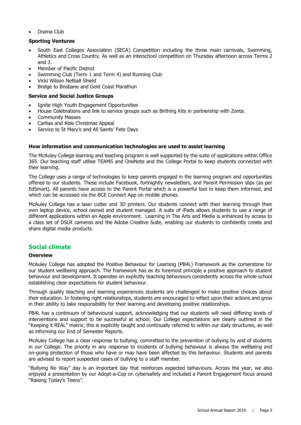• Drama Club

#### **Sporting Ventures**

- South East Colleges Association (SECA) Competition including the three main carnivals, Swimming, Athletics and Cross Country. As well as an interschool competition on Thursday afternoon across Terms 2 and 3.
- Member of Pacific District
- Swimming Club (Term 1 and Term 4) and Running Club
- Vicki Wilson Netball Shield
- Bridge to Brisbane and Gold Coast Marathon

#### **Service and Social Justice Groups**

- Ignite High Youth Engagement Opportunities
- House Celebrations and link to service groups such as Birthing Kits in partnership with Zonta.
- Community Masses
- Caritas and Able Christmas Appeal
- Service to St Mary's and All Saints' Fete Days

#### **How information and communication technologies are used to assist learning**

The McAuley College learning and teaching program is well supported by the suite of applications within Office 365. Our teaching staff utilise TEAMS and OneNote and the College Portal to keep students connected with their learning.

The College uses a range of technologies to keep parents engaged in the learning program and opportunities offered to our students. These include Facebook, fortnightly newsletters, and Parent Permission slips (as per EdSmart). All parents have access to the Parent Portal which is a powerful tool to keep them informed, and which can be accessed via the BCE Connect App on mobile phones.

McAuley College has a laser cutter and 3D printers. Our students connect with their learning through their own laptop device, school owned and student managed. A suite of iPads allows students to use a range of different applications within an Apple environment. Learning in The Arts and Media is enhanced by access to a class set of DSLR cameras and the Adobe Creative Suite, enabling our students to confidently create and share digital media products.

#### **Social climate**

#### **Overview**

McAuley College has adopted the Positive Behaviour for Learning (PB4L) Framework as the cornerstone for our student wellbeing approach. The framework has as its foremost principle a positive approach to student behaviour and development. It operates on explicitly teaching behaviours consistently across the whole school establishing clear expectations for student behaviour.

Through quality teaching and learning experiences students are challenged to make positive choices about their education. In fostering right relationships, students are encouraged to reflect upon their actions and grow in their ability to take responsibility for their learning and developing positive relationships.

PB4L has a continuum of behavioural support, acknowledging that our students will need differing levels of interventions and support to be successful at school. Our College expectations are clearly outlined in the "Keeping it REAL" matrix; this is explicitly taught and continually referred to within our daily structures, as well as informing our End of Semester Reports.

McAuley College has a clear response to bullying, committed to the prevention of bullying by and of students in our College. The priority in any response to incidents of bullying behaviour is always the wellbeing and on-going protection of those who have or may have been affected by this behaviour. Students and parents are advised to report suspected cases of bullying to a staff member.

"Bullying No Way" day is an important day that reinforces expected behaviours. Across the year, we also enjoyed a presentation by our Adopt-a-Cop on cybersafety and included a Parent Engagement focus around "Raising Today's Teens".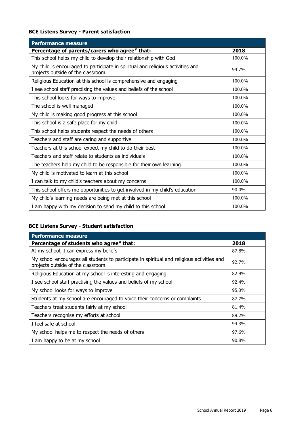#### **BCE Listens Survey - Parent satisfaction**

| <b>Performance measure</b>                                                                                           |        |
|----------------------------------------------------------------------------------------------------------------------|--------|
| Percentage of parents/carers who agree# that:                                                                        | 2018   |
| This school helps my child to develop their relationship with God                                                    | 100.0% |
| My child is encouraged to participate in spiritual and religious activities and<br>projects outside of the classroom | 94.7%  |
| Religious Education at this school is comprehensive and engaging                                                     | 100.0% |
| I see school staff practising the values and beliefs of the school                                                   | 100.0% |
| This school looks for ways to improve                                                                                | 100.0% |
| The school is well managed                                                                                           | 100.0% |
| My child is making good progress at this school                                                                      | 100.0% |
| This school is a safe place for my child                                                                             | 100.0% |
| This school helps students respect the needs of others                                                               | 100.0% |
| Teachers and staff are caring and supportive                                                                         | 100.0% |
| Teachers at this school expect my child to do their best                                                             | 100.0% |
| Teachers and staff relate to students as individuals                                                                 | 100.0% |
| The teachers help my child to be responsible for their own learning                                                  | 100.0% |
| My child is motivated to learn at this school                                                                        | 100.0% |
| I can talk to my child's teachers about my concerns                                                                  | 100.0% |
| This school offers me opportunities to get involved in my child's education                                          | 90.0%  |
| My child's learning needs are being met at this school                                                               | 100.0% |
| I am happy with my decision to send my child to this school                                                          | 100.0% |

#### **BCE Listens Survey - Student satisfaction**

| <b>Performance measure</b>                                                                                                      |       |
|---------------------------------------------------------------------------------------------------------------------------------|-------|
| Percentage of students who agree# that:                                                                                         | 2018  |
| At my school, I can express my beliefs                                                                                          | 87.8% |
| My school encourages all students to participate in spiritual and religious activities and<br>projects outside of the classroom | 92.7% |
| Religious Education at my school is interesting and engaging                                                                    | 82.9% |
| I see school staff practising the values and beliefs of my school                                                               | 92.4% |
| My school looks for ways to improve                                                                                             | 95.3% |
| Students at my school are encouraged to voice their concerns or complaints                                                      | 87.7% |
| Teachers treat students fairly at my school                                                                                     | 81.4% |
| Teachers recognise my efforts at school                                                                                         | 89.2% |
| I feel safe at school                                                                                                           | 94.3% |
| My school helps me to respect the needs of others                                                                               | 97.6% |
| I am happy to be at my school                                                                                                   | 90.8% |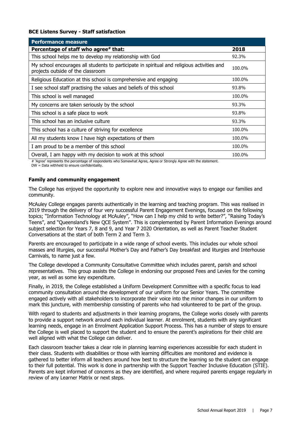#### **BCE Listens Survey - Staff satisfaction**

| <b>Performance measure</b>                                                                                                      |        |
|---------------------------------------------------------------------------------------------------------------------------------|--------|
| Percentage of staff who agree# that:                                                                                            | 2018   |
| This school helps me to develop my relationship with God                                                                        | 92.3%  |
| My school encourages all students to participate in spiritual and religious activities and<br>projects outside of the classroom | 100.0% |
| Religious Education at this school is comprehensive and engaging                                                                | 100.0% |
| I see school staff practising the values and beliefs of this school                                                             | 93.8%  |
| This school is well managed                                                                                                     | 100.0% |
| My concerns are taken seriously by the school                                                                                   | 93.3%  |
| This school is a safe place to work                                                                                             | 93.8%  |
| This school has an inclusive culture                                                                                            | 93.3%  |
| This school has a culture of striving for excellence                                                                            | 100.0% |
| All my students know I have high expectations of them                                                                           | 100.0% |
| I am proud to be a member of this school                                                                                        | 100.0% |
| Overall, I am happy with my decision to work at this school                                                                     | 100.0% |

# 'Agree' represents the percentage of respondents who Somewhat Agree, Agree or Strongly Agree with the statement.

DW = Data withheld to ensure confidentiality.

#### **Family and community engagement**

The College has enjoyed the opportunity to explore new and innovative ways to engage our families and community.

McAuley College engages parents authentically in the learning and teaching program. This was realised in 2019 through the delivery of four very successful Parent Engagement Evenings, focused on the following topics; "Information Technology at McAuley", "How can I help my child to write better?", "Raising Today's Teens", and "Queensland's New QCE System". This is complemented by Parent Information Evenings around subject selection for Years 7, 8 and 9, and Year 7 2020 Orientation, as well as Parent Teacher Student Conversations at the start of both Term 2 and Term 3.

Parents are encouraged to participate in a wide range of school events. This includes our whole school masses and liturgies, our successful Mother's Day and Father's Day breakfast and liturgies and Interhouse Carnivals, to name just a few.

The College developed a Community Consultative Committee which includes parent, parish and school representatives. This group assists the College in endorsing our proposed Fees and Levies for the coming year, as well as some key expenditure.

Finally, in 2019, the College established a Uniform Development Committee with a specific focus to lead community consultation around the development of our uniform for our Senior Years. The committee engaged actively with all stakeholders to incorporate their voice into the minor changes in our uniform to mark this juncture, with membership consisting of parents who had volunteered to be part of the group.

With regard to students and adjustments in their learning programs, the College works closely with parents to provide a support network around each individual learner. At enrolment, students with any significant learning needs, engage in an Enrolment Application Support Process. This has a number of steps to ensure the College is well placed to support the student and to ensure the parent's aspirations for their child are well aligned with what the College can deliver.

Each classroom teacher takes a clear role in planning learning experiences accessible for each student in their class. Students with disabilities or those with learning difficulties are monitored and evidence is gathered to better inform all teachers around how best to structure the learning so the student can engage to their full potential. This work is done in partnership with the Support Teacher Inclusive Education (STIE). Parents are kept informed of concerns as they are identified, and where required parents engage regularly in review of any Learner Matrix or next steps.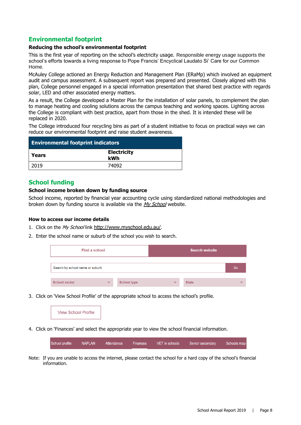#### **Environmental footprint**

#### **Reducing the school's environmental footprint**

This is the first year of reporting on the school's electricity usage. Responsible energy usage supports the school's efforts towards a living response to Pope Francis' Encyclical Laudato Si' Care for our Common Home.

McAuley College actioned an Energy Reduction and Management Plan (ERaMp) which involved an equipment audit and campus assessment. A subsequent report was prepared and presented. Closely aligned with this plan, College personnel engaged in a special information presentation that shared best practice with regards solar, LED and other associated energy matters.

As a result, the College developed a Master Plan for the installation of solar panels, to complement the plan to manage heating and cooling solutions across the campus teaching and working spaces. Lighting across the College is compliant with best practice, apart from those in the shed. It is intended these will be replaced in 2020.

The College introduced four recycling bins as part of a student initiative to focus on practical ways we can reduce our environmental footprint and raise student awareness.

| <b>Environmental footprint indicators</b> |                           |  |
|-------------------------------------------|---------------------------|--|
| Years                                     | <b>Electricity</b><br>kWh |  |
| 2019                                      | 74092                     |  |

#### **School funding**

#### **School income broken down by funding source**

School income, reported by financial year accounting cycle using standardized national methodologies and broken down by funding source is available via the [My School](http://www.myschool.edu.au/) website.

#### **How to access our income details**

- 1. Click on the My School link <http://www.myschool.edu.au/>.
- 2. Enter the school name or suburb of the school you wish to search.

| Find a school                   |              |                    |              | <b>Search website</b> |              |
|---------------------------------|--------------|--------------------|--------------|-----------------------|--------------|
| Search by school name or suburb |              |                    |              |                       | Go           |
| <b>School sector</b>            | $\checkmark$ | <b>School type</b> | $\checkmark$ | <b>State</b>          | $\checkmark$ |

3. Click on 'View School Profile' of the appropriate school to access the school's profile.



4. Click on 'Finances' and select the appropriate year to view the school financial information.

| School profile | NAPLAN | Attendance | Finances | VET in schools Senior secondary | Schools map |
|----------------|--------|------------|----------|---------------------------------|-------------|
|                |        |            |          |                                 |             |

Note: If you are unable to access the internet, please contact the school for a hard copy of the school's financial information.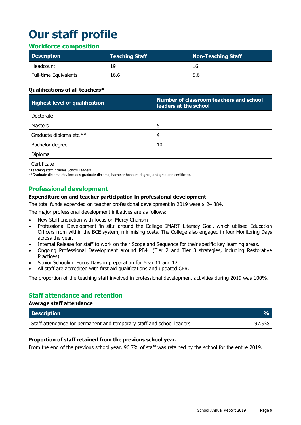# **Our staff profile**

#### **Workforce composition**

| <b>Description</b>           | <b>Teaching Staff</b> | Non-Teaching Staff |
|------------------------------|-----------------------|--------------------|
| Headcount                    | 19                    | 16                 |
| <b>Full-time Equivalents</b> | 16.6                  | 5.6                |

#### **Qualifications of all teachers\***

| <b>Highest level of qualification</b> | Number of classroom teachers and school<br>leaders at the school |
|---------------------------------------|------------------------------------------------------------------|
| Doctorate                             |                                                                  |
| Masters                               | 5                                                                |
| Graduate diploma etc.**               | 4                                                                |
| Bachelor degree                       | 10                                                               |
| Diploma                               |                                                                  |
| Certificate                           |                                                                  |

\*Teaching staff includes School Leaders

\*\*Graduate diploma etc. includes graduate diploma, bachelor honours degree, and graduate certificate.

#### **Professional development**

#### **Expenditure on and teacher participation in professional development**

The total funds expended on teacher professional development in 2019 were \$ 24 884.

The major professional development initiatives are as follows:

- New Staff Induction with focus on Mercy Charism
- Professional Development 'in situ' around the College SMART Literacy Goal, which utilised Education Officers from within the BCE system, minimising costs. The College also engaged in four Monitoring Days across the year.
- Internal Release for staff to work on their Scope and Sequence for their specific key learning areas.
- Ongoing Professional Development around PB4L (Tier 2 and Tier 3 strategies, including Restorative Practices)
- Senior Schooling Focus Days in preparation for Year 11 and 12.
- All staff are accredited with first aid qualifications and updated CPR.

The proportion of the teaching staff involved in professional development activities during 2019 was 100%.

#### **Staff attendance and retention**

#### **Average staff attendance**

| <b>Description</b>                                                                 |       |
|------------------------------------------------------------------------------------|-------|
| <sup>1</sup> Staff attendance for permanent and temporary staff and school leaders | 97.9% |

#### **Proportion of staff retained from the previous school year.**

From the end of the previous school year, 96.7% of staff was retained by the school for the entire 2019.